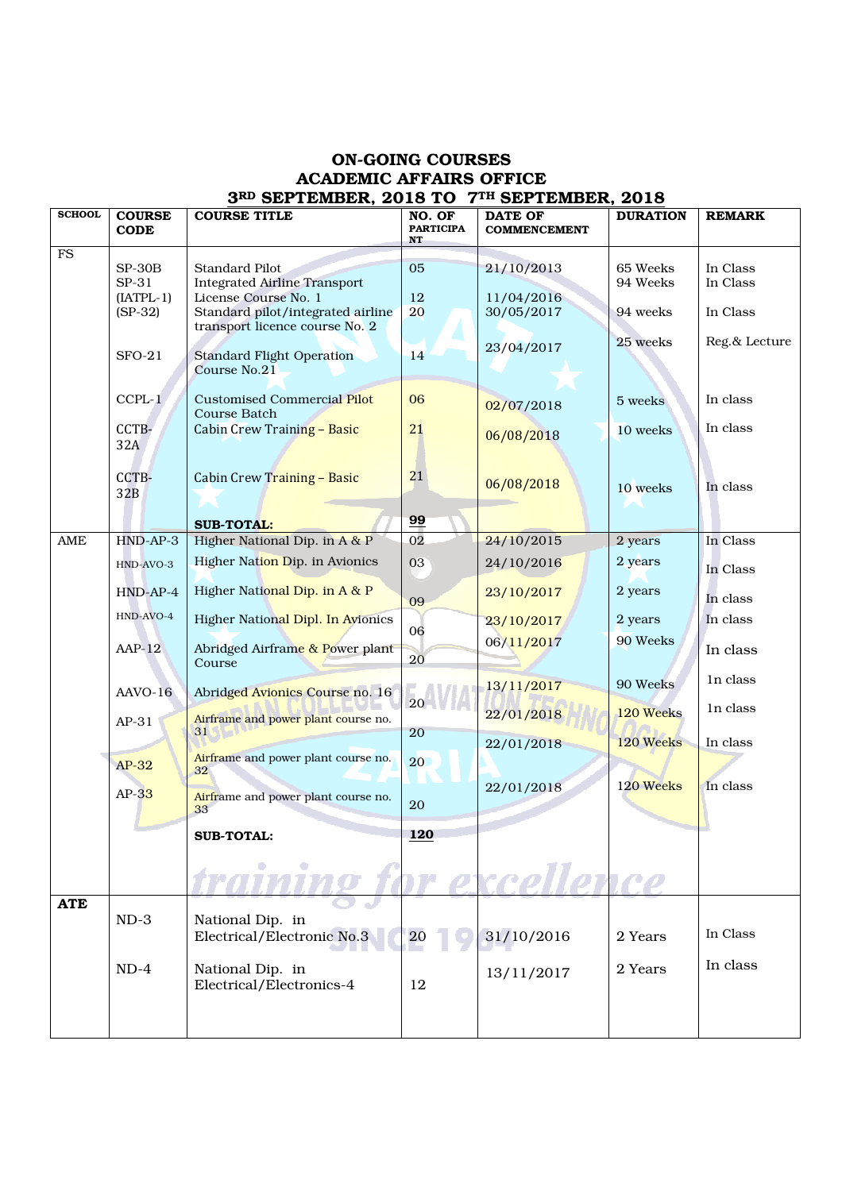## ON-GOING COURSES ACADEMIC AFFAIRS OFFICE 3RD SEPTEMBER, 2018 TO 7TH SEPTEMBER, 2018

| <b>SCHOOL</b> |               | SEI IEMBER, 2010 IU                 |                            | VEI IEMBER, 2010                      |                 |               |
|---------------|---------------|-------------------------------------|----------------------------|---------------------------------------|-----------------|---------------|
|               | <b>COURSE</b> | <b>COURSE TITLE</b>                 | NO. OF<br><b>PARTICIPA</b> | <b>DATE OF</b><br><b>COMMENCEMENT</b> | <b>DURATION</b> | <b>REMARK</b> |
|               | <b>CODE</b>   |                                     | <b>NT</b>                  |                                       |                 |               |
| FS            |               |                                     |                            |                                       |                 |               |
|               | $SP-30B$      | <b>Standard Pilot</b>               | 05                         | 21/10/2013                            | 65 Weeks        | In Class      |
|               | SP-31         | <b>Integrated Airline Transport</b> |                            |                                       | 94 Weeks        | In Class      |
|               | $[IATPL-1]$   | License Course No. 1                | 12                         | 11/04/2016                            |                 |               |
|               | $(SP-32)$     | Standard pilot/integrated airline   | 20                         | 30/05/2017                            | 94 weeks        | In Class      |
|               |               | transport licence course No. 2      |                            |                                       |                 |               |
|               |               |                                     |                            | 23/04/2017                            | 25 weeks        | Reg.& Lecture |
|               | $SFO-21$      | <b>Standard Flight Operation</b>    | 14                         |                                       |                 |               |
|               |               | Course No.21                        |                            |                                       |                 |               |
|               |               |                                     |                            |                                       |                 |               |
|               | $C$ CPL- $1$  | <b>Customised Commercial Pilot</b>  | 06                         | 02/07/2018                            | 5 weeks         | In class      |
|               |               | <b>Course Batch</b>                 |                            |                                       |                 |               |
|               | CCTB-         | Cabin Crew Training - Basic         | 21                         | 06/08/2018                            | 10 weeks        | In class      |
|               | 32A           |                                     |                            |                                       |                 |               |
|               |               |                                     |                            |                                       |                 |               |
|               | CCTB-         | Cabin Crew Training - Basic         | 21                         |                                       |                 |               |
|               | 32B           |                                     |                            | 06/08/2018                            | 10 weeks        | In class      |
|               |               |                                     |                            |                                       |                 |               |
|               |               | <b>SUB-TOTAL:</b>                   | 99                         |                                       |                 |               |
| AME           | HND-AP-3      | Higher National Dip. in A & P       | $\overline{02}$            | 24/10/2015                            | 2 years         | In Class      |
|               |               |                                     |                            |                                       |                 |               |
|               | HND-AVO-3     | Higher Nation Dip. in Avionics      | 03                         | 24/10/2016                            | 2 years         | In Class      |
|               |               |                                     |                            |                                       |                 |               |
|               | $HND-AP-4$    | Higher National Dip. in A & P       | 09                         | 23/10/2017                            | 2 years         | In class      |
|               | HND-AVO-4     |                                     |                            |                                       |                 |               |
|               |               | Higher National Dipl. In Avionics   | 06                         | 23/10/2017                            | 2 years         | In class      |
|               | $AAP-12$      | Abridged Airframe & Power plant     |                            | 06/11/2017                            | 90 Weeks        |               |
|               |               | Course                              | $20\,$                     |                                       |                 | In class      |
|               |               |                                     |                            |                                       |                 |               |
|               | AAVO-16       | Abridged Avionics Course no. 16     |                            | 13/11/2017                            | 90 Weeks        | In class      |
|               |               |                                     | 20                         |                                       |                 | In class      |
|               | $AP-31$       | Airframe and power plant course no. |                            | 22/01/2018                            | 120 Weeks       |               |
|               |               | 31 <sup>2</sup>                     | 20                         |                                       |                 |               |
|               |               |                                     |                            | 22/01/2018                            | 120 Weeks       | In class      |
|               | $AP-32$       | Airframe and power plant course no. | 20                         |                                       |                 |               |
|               |               | 32                                  |                            |                                       | 120 Weeks       | In class      |
|               | $AP-33$       | Airframe and power plant course no. |                            | 22/01/2018                            |                 |               |
|               |               | 33                                  | 20                         |                                       |                 |               |
|               |               |                                     |                            |                                       |                 |               |
|               |               | <b>SUB-TOTAL:</b>                   | <u>120</u>                 |                                       |                 |               |
|               |               |                                     |                            |                                       |                 |               |
|               |               |                                     |                            |                                       |                 |               |
|               |               |                                     | $7\sigma$                  | 12PD                                  |                 |               |
| <b>ATE</b>    |               |                                     |                            |                                       |                 |               |
|               | $ND-3$        | National Dip. in                    |                            |                                       |                 |               |
|               |               | Electrical/Electronic No.3          | <b>20</b>                  | 31/10/2016                            | 2 Years         | In Class      |
|               |               |                                     |                            |                                       |                 |               |
|               | $ND-4$        | National Dip. in                    |                            |                                       | 2 Years         | In class      |
|               |               | Electrical/Electronics-4            | 12                         | 13/11/2017                            |                 |               |
|               |               |                                     |                            |                                       |                 |               |
|               |               |                                     |                            |                                       |                 |               |
|               |               |                                     |                            |                                       |                 |               |
|               |               |                                     |                            |                                       |                 |               |